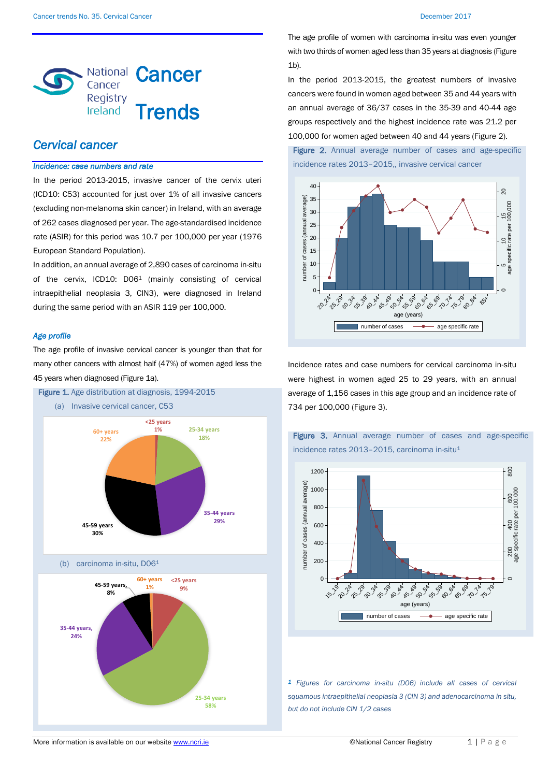

# *Cervical cancer*

## *Incidence: case numbers and rate*

In the period 2013-2015, invasive cancer of the cervix uteri (ICD10: C53) accounted for just over 1% of all invasive cancers (excluding non-melanoma skin cancer) in Ireland, with an average of 262 cases diagnosed per year. The age-standardised incidence rate (ASIR) for this period was 10.7 per 100,000 per year (1976 European Standard Population).

In addition, an annual average of 2,890 cases of carcinoma in-situ of the cervix, ICD10: D06<sup>1</sup> (mainly consisting of cervical intraepithelial neoplasia 3, CIN3), were diagnosed in Ireland during the same period with an ASIR 119 per 100,000.

### *Age profile*

The age profile of invasive cervical cancer is younger than that for many other cancers with almost half (47%) of women aged less the 45 years when diagnosed (Figure 1a).



The age profile of women with carcinoma in-situ was even younger with two thirds of women aged less than 35 years at diagnosis (Figure  $1<sub>b</sub>$ .

In the period 2013-2015, the greatest numbers of invasive cancers were found in women aged between 35 and 44 years with an annual average of 36/37 cases in the 35-39 and 40-44 age groups respectively and the highest incidence rate was 21.2 per 100,000 for women aged between 40 and 44 years (Figure 2).

Figure 2. Annual average number of cases and age-specific incidence rates 2013–2015,, invasive cervical cancer



Incidence rates and case numbers for cervical carcinoma in-situ were highest in women aged 25 to 29 years, with an annual average of 1,156 cases in this age group and an incidence rate of 734 per 100,000 (Figure 3).



Figure 3. Annual average number of cases and age-specific

incidence rates 2013–2015, carcinoma in-situ<sup>1</sup>

*1 Figures for carcinoma in-situ (D06) include all cases of cervical squamous intraepithelial neoplasia 3 (CIN 3) and adenocarcinoma in situ, but do not include CIN 1/2 cases*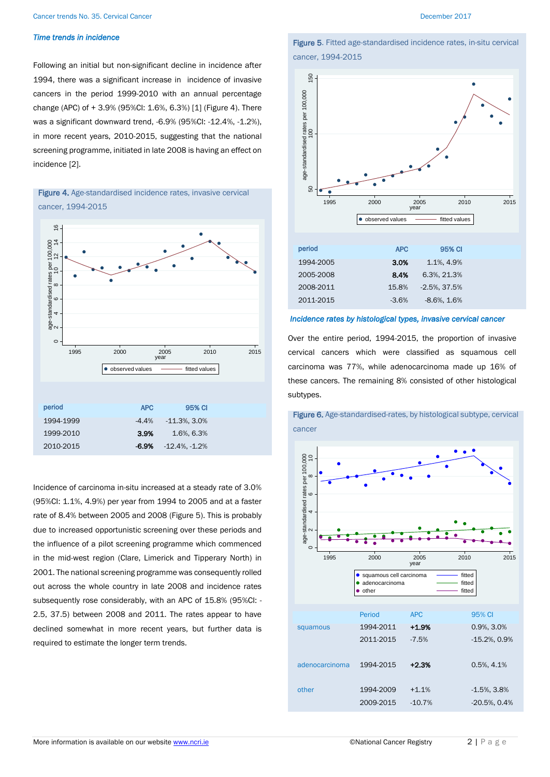### *Time trends in incidence*

Following an initial but non-significant decline in incidence after 1994, there was a significant increase in incidence of invasive cancers in the period 1999-2010 with an annual percentage change (APC) of + 3.9% (95%CI: 1.6%, 6.3%) [1] (Figure 4). There was a significant downward trend, -6.9% (95%CI: -12.4%, -1.2%), in more recent years, 2010-2015, suggesting that the national screening programme, initiated in late 2008 is having an effect on incidence [2].



# Figure 4. Age-standardised incidence rates, invasive cervical cancer, 1994-2015

Incidence of carcinoma in-situ increased at a steady rate of 3.0% (95%CI: 1.1%, 4.9%) per year from 1994 to 2005 and at a faster rate of 8.4% between 2005 and 2008 (Figure 5). This is probably due to increased opportunistic screening over these periods and the influence of a pilot screening programme which commenced in the mid-west region (Clare, Limerick and Tipperary North) in 2001. The national screening programme was consequently rolled out across the whole country in late 2008 and incidence rates subsequently rose considerably, with an APC of 15.8% (95%CI: - 2.5, 37.5) between 2008 and 2011. The rates appear to have declined somewhat in more recent years, but further data is required to estimate the longer term trends.



Figure 5. Fitted age-standardised incidence rates, in-situ cervical

cancer, 1994-2015

### *Incidence rates by histological types, invasive cervical cancer*

Over the entire period, 1994-2015, the proportion of invasive cervical cancers which were classified as squamous cell carcinoma was 77%, while adenocarcinoma made up 16% of these cancers. The remaining 8% consisted of other histological subtypes.



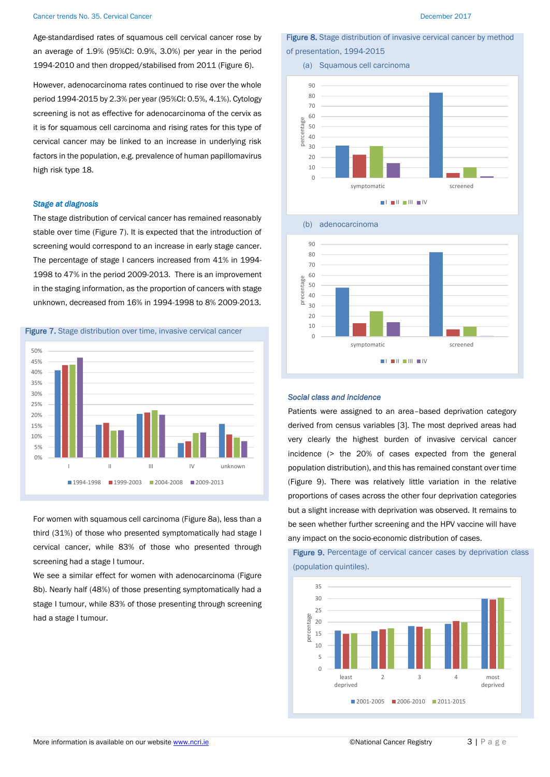Age-standardised rates of squamous cell cervical cancer rose by an average of 1.9% (95%CI: 0.9%, 3.0%) per year in the period 1994-2010 and then dropped/stabilised from 2011 (Figure 6).

However, adenocarcinoma rates continued to rise over the whole period 1994-2015 by 2.3% per year (95%CI: 0.5%, 4.1%). Cytology screening is not as effective for adenocarcinoma of the cervix as it is for squamous cell carcinoma and rising rates for this type of cervical cancer may be linked to an increase in underlying risk factors in the population, e.g. prevalence of human papillomavirus high risk type 18.

### *Stage at diagnosis*

The stage distribution of cervical cancer has remained reasonably stable over time (Figure 7). It is expected that the introduction of screening would correspond to an increase in early stage cancer. The percentage of stage I cancers increased from 41% in 1994- 1998 to 47% in the period 2009-2013. There is an improvement in the staging information, as the proportion of cancers with stage unknown, decreased from 16% in 1994-1998 to 8% 2009-2013.





For women with squamous cell carcinoma (Figure 8a), less than a third (31%) of those who presented symptomatically had stage I cervical cancer, while 83% of those who presented through screening had a stage I tumour.

We see a similar effect for women with adenocarcinoma (Figure 8b). Nearly half (48%) of those presenting symptomatically had a stage I tumour, while 83% of those presenting through screening had a stage I tumour.

Figure 8. Stage distribution of invasive cervical cancer by method of presentation, 1994-2015







### *Social class and incidence*

Patients were assigned to an area–based deprivation category derived from census variables [3]. The most deprived areas had very clearly the highest burden of invasive cervical cancer incidence (> the 20% of cases expected from the general population distribution), and this has remained constant over time (Figure 9). There was relatively little variation in the relative proportions of cases across the other four deprivation categories but a slight increase with deprivation was observed. It remains to be seen whether further screening and the HPV vaccine will have any impact on the socio-economic distribution of cases.

Figure 9. Percentage of cervical cancer cases by deprivation class (population quintiles).

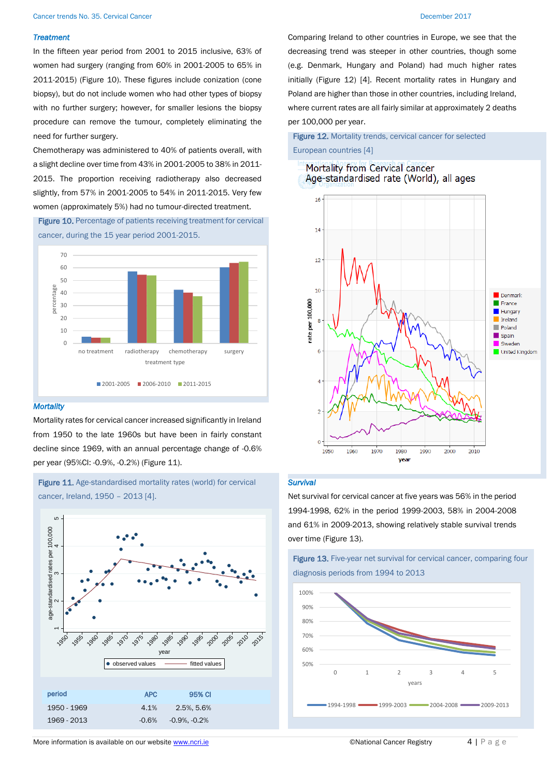### *Treatment*

In the fifteen year period from 2001 to 2015 inclusive, 63% of women had surgery (ranging from 60% in 2001-2005 to 65% in 2011-2015) (Figure 10). These figures include conization (cone biopsy), but do not include women who had other types of biopsy with no further surgery; however, for smaller lesions the biopsy procedure can remove the tumour, completely eliminating the need for further surgery.

Chemotherapy was administered to 40% of patients overall, with a slight decline over time from 43% in 2001-2005 to 38% in 2011- 2015. The proportion receiving radiotherapy also decreased slightly, from 57% in 2001-2005 to 54% in 2011-2015. Very few women (approximately 5%) had no tumour-directed treatment.

Figure 10. Percentage of patients receiving treatment for cervical cancer, during the 15 year period 2001-2015.



### *Mortality*

Mortality rates for cervical cancer increased significantly in Ireland from 1950 to the late 1960s but have been in fairly constant decline since 1969, with an annual percentage change of -0.6% per year (95%CI: -0.9%, -0.2%) (Figure 11).

# Figure 11. Age-standardised mortality rates (world) for cervical cancer, Ireland, 1950 – 2013 [4].



Comparing Ireland to other countries in Europe, we see that the decreasing trend was steeper in other countries, though some (e.g. Denmark, Hungary and Poland) had much higher rates initially (Figure 12) [4]. Recent mortality rates in Hungary and Poland are higher than those in other countries, including Ireland, where current rates are all fairly similar at approximately 2 deaths per 100,000 per year.

# Figure 12. Mortality trends, cervical cancer for selected European countries [4]

## Mortality from Cervical cancer Age-standardised rate (World), all ages



## *Survival*

Net survival for cervical cancer at five years was 56% in the period 1994-1998, 62% in the period 1999-2003, 58% in 2004-2008 and 61% in 2009-2013, showing relatively stable survival trends over time (Figure 13).



Figure 13. Five-year net survival for cervical cancer, comparing four diagnosis periods from 1994 to 2013